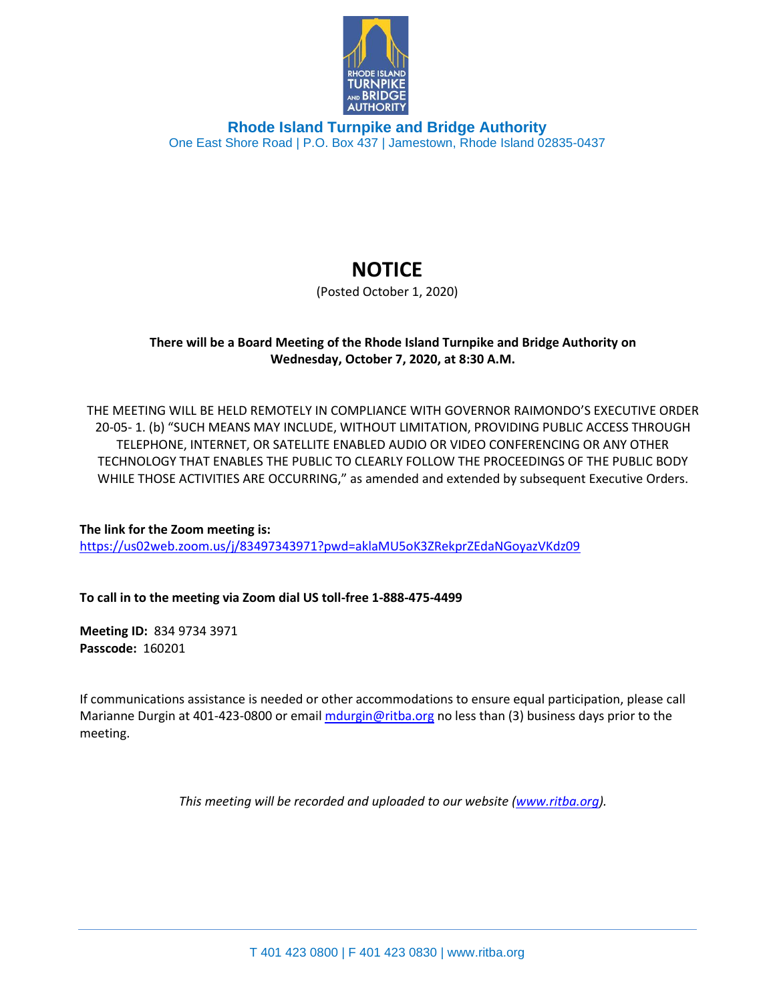

**Rhode Island Turnpike and Bridge Authority** One East Shore Road | P.O. Box 437 | Jamestown, Rhode Island 02835-0437

## **NOTICE**

(Posted October 1, 2020)

## **There will be a Board Meeting of the Rhode Island Turnpike and Bridge Authority on Wednesday, October 7, 2020, at 8:30 A.M.**

THE MEETING WILL BE HELD REMOTELY IN COMPLIANCE WITH GOVERNOR RAIMONDO'S EXECUTIVE ORDER 20-05- 1. (b) "SUCH MEANS MAY INCLUDE, WITHOUT LIMITATION, PROVIDING PUBLIC ACCESS THROUGH TELEPHONE, INTERNET, OR SATELLITE ENABLED AUDIO OR VIDEO CONFERENCING OR ANY OTHER TECHNOLOGY THAT ENABLES THE PUBLIC TO CLEARLY FOLLOW THE PROCEEDINGS OF THE PUBLIC BODY WHILE THOSE ACTIVITIES ARE OCCURRING," as amended and extended by subsequent Executive Orders.

**The link for the Zoom meeting is:**  <https://us02web.zoom.us/j/83497343971?pwd=aklaMU5oK3ZRekprZEdaNGoyazVKdz09>

**To call in to the meeting via Zoom dial US toll-free 1-888-475-4499**

**Meeting ID:** 834 9734 3971 **Passcode:** 160201

If communications assistance is needed or other accommodations to ensure equal participation, please call Marianne Durgin at 401-423-0800 or email [mdurgin@ritba.org](mailto:mdurgin@ritba.org) no less than (3) business days prior to the meeting.

*This meeting will be recorded and uploaded to our website [\(www.ritba.org\)](http://www.ritba.org/).*